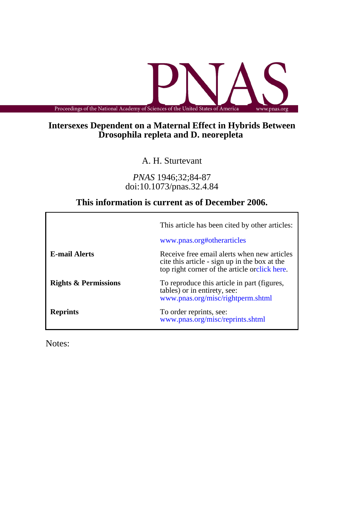Proceedings of the National Academy of Sciences of the United States of America www.pnas.org

## **Drosophila repleta and D. neorepleta Intersexes Dependent on a Maternal Effect in Hybrids Between**

A. H. Sturtevant

doi:10.1073/pnas.32.4.84 *PNAS* 1946;32;84-87

# **This information is current as of December 2006.**

|                                 | This article has been cited by other articles:<br>www.pnas.org#otherarticles                                                                  |
|---------------------------------|-----------------------------------------------------------------------------------------------------------------------------------------------|
| <b>E-mail Alerts</b>            | Receive free email alerts when new articles<br>cite this article - sign up in the box at the<br>top right corner of the article orclick here. |
| <b>Rights &amp; Permissions</b> | To reproduce this article in part (figures,<br>tables) or in entirety, see:<br>www.pnas.org/misc/rightperm.shtml                              |
| <b>Reprints</b>                 | To order reprints, see:<br>www.pnas.org/misc/reprints.shtml                                                                                   |

Notes: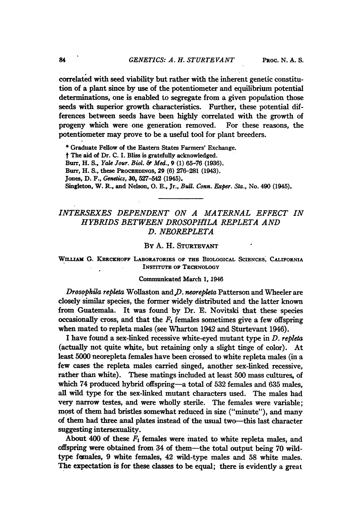correlated with seed viability but rather with the inherent genetic constitution of a plant since by use of the potentiometer and equilibrium potential determinations, one is enabled to segregate from a given population those seeds with superior growth characteristics. Further, these potential differences between seeds have been highly correlated with the growth of progeny which were one generation removed. For these reasons, the potentiometer may prove to be a useful tool for plant breeders.

\* Graduate Fellow of the Eastern States Farmers' Exchange.

<sup>t</sup> The aid of Dr. C. I. Bliss is gratefully acknowledged.

Burr, H. S., Yale Jour. Biol. & Med., <sup>9</sup> (1) 65-76 (1936).

Burr, H. S., these PROCEEDINGS, 29 (6) 276-281 (1943).

Jones, D. F., Genetics, 30, 527-542 (1945).

Singleton, W. R., and Nelson, O. E., Jr., Bull. Conn. Exper. Sta., No. 490 (1945).

## INTERSEXES DEPENDENT ON A MATERNAL EFFECT IN HYBRIDS BETWEEN DROSOPItILA REPLETA AND D. NEOREPLETA

#### By A. H. STURTEvANT

## WILLIAm G. KERCKROFF LABORATORIES OF THE BIOLOGIcAL SCIENCES, CALIFORNIA INSTITUTE oF TECHNOLOGY

#### Communicated March 1,1946

Drosophila repleta Wollaston and  $D.$  neorepleta Patterson and Wheeler are closely similar species, the former widely distributed and the latter known from Guatemala. It was found by Dr. E. Novitski that these species occasionally cross, and that the  $F_1$  females sometimes give a few offspring when mated to repleta males (see Wharton 1942 and Sturtevant 1946).

I have found a sex-linked recessive white-eyed mutant type in D. repleta (actually not quite white, but retaining only a slight tinge of color). At least 5000 neorepleta females have been crossed to white repleta males (in a few cases the repleta males carried singed, another sex-linked recessive, rather than white). These matings included at least 500 mass cultures, of which 74 produced hybrid offspring-a total of 532 females and 635 males, all wild type for the sex-linked mutant characters used. The males had very narrow testes, and were wholly sterile. The females were variable; most of them had bristles somewhat reduced in size ("minute"), and many of them had three anal plates instead of the usual two-this last character suggesting intersexuality.

About 400 of these  $F_1$  females were mated to white repleta males, and offspring were obtained from 34 of them-the total output being 70 wildtype fonales, 9 white females, 42 wild-type males and 58 white males. The expectation is for these classes to be equal; there is evidently a great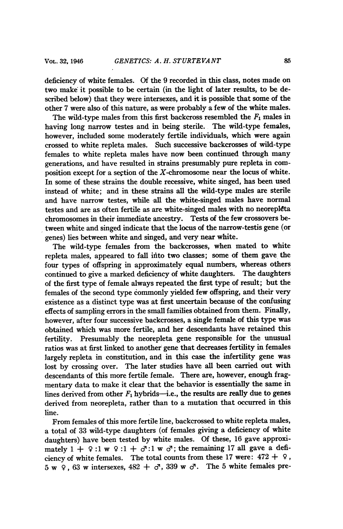deficiency of white females. Of the 9 recorded in this class, notes made on two make it possible to be certain (in the light of later results, to be described below) that they were intersexes, and it is possible that some of the other 7 were also of this nature, as were probably a few of the white males.

The wild-type males from this first backcross resembled the  $F_1$  males in having long narrow testes and in being sterile. The wild-type females, however, included some moderately fertile individuals, which were again crossed to white repleta males. Such successive backcrosses of wild-type females to white repleta males have now been continued through many generations, and have resulted in strains presumably pure repleta in composition except for a section of the  $X$ -chromosome near the locus of white. In some of these strains the double recessive, white singed, has been used instead of white; and in these strains all the wild-type males are sterile and have narrow testes, while all the white-singed males have normal testes and are as often fertile as are white-singed males with no neorepleta chromosomes in their immediate ancestry. Tests of the few crossovers between white and singed indicate that the locus of the narrow-testis gene (or genes) lies between white and singed, and very near white.

The wild-type females from the backcrosses, when mated to white repleta males, appeared to fall ifito two classes; some of them gave the four types of offspring in approximately equal numbers, whereas others continued to give a marked deficiency of white daughters. The daughters of the first type of female always repeated the first type of result; but the females of the second type commonly yielded few offspring, and their very existence as a distinct type was at first uncertain because of the confusing effects of sampling errors in the small families obtained from them. Finally, however, after four successive backcrosses, a single female of this type was obtained which was more fertile, and her descendants have retained this fertility. Presumably the neorepleta gene responsible for the unusual ratios was at first linked to another' gene that decreases fertility in females largely repleta in constitution, and in this case the infertility gene was lost by crossing over. The later studies have all been carried out with descendants of this more fertile female. There are, however, enough fragmentary data to make it clear that the behavior is essentially the same in lines derived from other  $F_1$  hybrids-i.e., the results are really due to genes derived from neorepleta, rather than to a mutation that occurred in this line.

From females of this more fertile line, backcrossed to white repleta males, a total of 33 wild-type daughters (of females giving a deficiency of white daughters) have been tested by white males. Of these, 16 gave approximately  $1 + 9 : 1 \le 9 : 1 + \sigma : 1 \le \sigma$ ; the remaining 17 all gave a deficiency of white females. The total counts from these 17 were:  $472 + 9$ ,  $5 \text{ w } 9$ , 63 w intersexes,  $482 + 67$ , 339 w  $67$ . The 5 white females pre-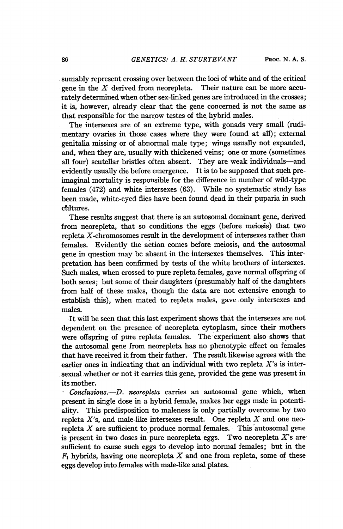sumably represent crossing over between the loci of white and of the critical gene in the  $X$  derived from neorepleta. Their nature can be more accurately determined when other sex-linked genes are introduced in the crosses; it is, however, already clear that the gene concerned is not the same as that responsible for the narrow testes of the hybrid males.

The intersexes are of an extreme type, with gonads very small (rudimentary- ovaries in those cases where they were found at all); external genitalia missing or of abnormal male type; wings usually not expanded, and, when they are, usually with thickened veins; one or more (sometimes all four) scutellar bristles often absent. They are weak individuals-and evidently usually die before emergence. It is to be supposed that such preimaginal mortality is responsible for the difference in number of wild-type females (472) and white intersexes (63). While no systematic study has been made, white-eyed flies have been found dead in their puparia in such cultures.

These results suggest that there is an autosomal dominant gene, derived from neorepleta, that so conditions the eggs (before meiosis) that two repleta X-chromosomes result in the development of intersexes rather than females. Evidently the action comes before meiosis, and the autosomal gene in question may be absent in the intersexes themselves. This interpretation has been confirmed by tests of the white brothers of intersexes. Such males, when crossed to pure repleta females, gave normal offspring of both sexes; but some of their daughters (presumably half of the daughters from half of these males, though the data are not extensive enough to establish this), when mated to repleta males, gave only intersexes and males.

It will be seen that this last experiment shows that the intersexes are not dependent on the presence of neorepleta cytoplasm, since their mothers were offspring of pure repleta females. The experiment also shows that the autosomal gene from neorepleta has no phenotypic effect on females that have received it from their father. The result likewise agrees with the earlier ones in indicating that an individual with two repleta  $X$ 's is intersexual whether or not it carries this gene, provided the gene was present in its mother.

- Conclusions.-D. neorepleta carries an autosomal gene which, when present in single dose in a hybrid female, makes her eggs male in potentiality. This predisposition to maleness is only partially overcome by two repleta  $X$ 's, and male-like intersexes result. One repleta  $X$  and one neorepleta  $X$  are sufficient to produce normal females. This autosomal gene is present in two doses in pure neorepleta eggs. Two neorepleta  $X$ 's are sufficient to cause such eggs to develop into normal females; but in the  $F_1$  hybrids, having one neorepleta  $X$  and one from repleta, some of these eggs develop into females with male-like anal plates.